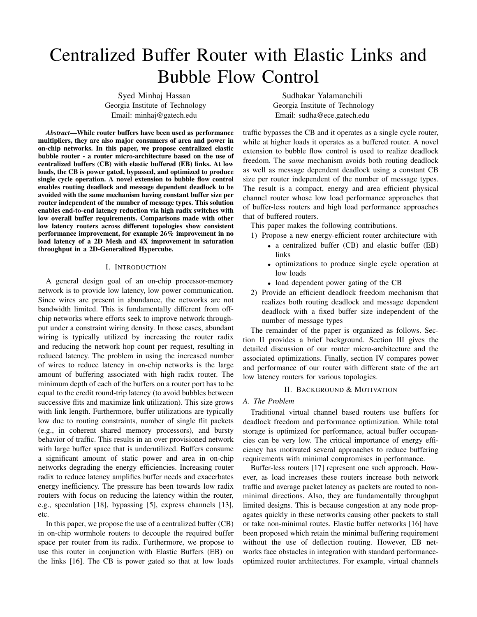# Centralized Buffer Router with Elastic Links and Bubble Flow Control

Syed Minhaj Hassan Georgia Institute of Technology Email: minhaj@gatech.edu

Sudhakar Yalamanchili Georgia Institute of Technology Email: sudha@ece.gatech.edu

*Abstract*—While router buffers have been used as performance multipliers, they are also major consumers of area and power in on-chip networks. In this paper, we propose centralized elastic bubble router - a router micro-architecture based on the use of centralized buffers (CB) with elastic buffered (EB) links. At low loads, the CB is power gated, bypassed, and optimized to produce single cycle operation. A novel extension to bubble flow control enables routing deadlock and message dependent deadlock to be avoided with the same mechanism having constant buffer size per router independent of the number of message types. This solution enables end-to-end latency reduction via high radix switches with low overall buffer requirements. Comparisons made with other low latency routers across different topologies show consistent performance improvement, for example 26% improvement in no load latency of a 2D Mesh and 4X improvement in saturation throughput in a 2D-Generalized Hypercube.

#### I. INTRODUCTION

A general design goal of an on-chip processor-memory network is to provide low latency, low power communication. Since wires are present in abundance, the networks are not bandwidth limited. This is fundamentally different from offchip networks where efforts seek to improve network throughput under a constraint wiring density. In those cases, abundant wiring is typically utilized by increasing the router radix and reducing the network hop count per request, resulting in reduced latency. The problem in using the increased number of wires to reduce latency in on-chip networks is the large amount of buffering associated with high radix router. The minimum depth of each of the buffers on a router port has to be equal to the credit round-trip latency (to avoid bubbles between successive flits and maximize link utilization). This size grows with link length. Furthermore, buffer utilizations are typically low due to routing constraints, number of single flit packets (e.g., in coherent shared memory processors), and bursty behavior of traffic. This results in an over provisioned network with large buffer space that is underutilized. Buffers consume a significant amount of static power and area in on-chip networks degrading the energy efficiencies. Increasing router radix to reduce latency amplifies buffer needs and exacerbates energy inefficiency. The pressure has been towards low radix routers with focus on reducing the latency within the router, e.g., speculation [18], bypassing [5], express channels [13], etc.

In this paper, we propose the use of a centralized buffer (CB) in on-chip wormhole routers to decouple the required buffer space per router from its radix. Furthermore, we propose to use this router in conjunction with Elastic Buffers (EB) on the links [16]. The CB is power gated so that at low loads traffic bypasses the CB and it operates as a single cycle router, while at higher loads it operates as a buffered router. A novel extension to bubble flow control is used to realize deadlock freedom. The *same* mechanism avoids both routing deadlock as well as message dependent deadlock using a constant CB size per router independent of the number of message types. The result is a compact, energy and area efficient physical channel router whose low load performance approaches that of buffer-less routers and high load performance approaches that of buffered routers.

This paper makes the following contributions.

- 1) Propose a new energy-efficient router architecture with
	- a centralized buffer (CB) and elastic buffer (EB) links
	- optimizations to produce single cycle operation at low loads
	- load dependent power gating of the CB
- 2) Provide an efficient deadlock freedom mechanism that realizes both routing deadlock and message dependent deadlock with a fixed buffer size independent of the number of message types

The remainder of the paper is organized as follows. Section II provides a brief background. Section III gives the detailed discussion of our router micro-architecture and the associated optimizations. Finally, section IV compares power and performance of our router with different state of the art low latency routers for various topologies.

# II. BACKGROUND & MOTIVATION

# *A. The Problem*

Traditional virtual channel based routers use buffers for deadlock freedom and performance optimization. While total storage is optimized for performance, actual buffer occupancies can be very low. The critical importance of energy efficiency has motivated several approaches to reduce buffering requirements with minimal compromises in performance.

Buffer-less routers [17] represent one such approach. However, as load increases these routers increase both network traffic and average packet latency as packets are routed to nonminimal directions. Also, they are fundamentally throughput limited designs. This is because congestion at any node propagates quickly in these networks causing other packets to stall or take non-minimal routes. Elastic buffer networks [16] have been proposed which retain the minimal buffering requirement without the use of deflection routing. However, EB networks face obstacles in integration with standard performanceoptimized router architectures. For example, virtual channels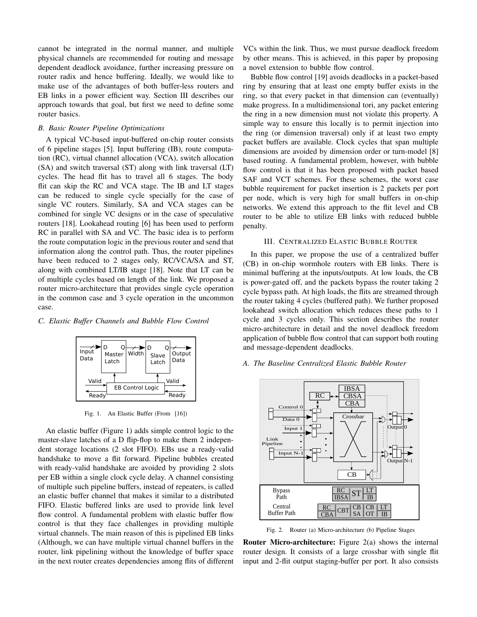cannot be integrated in the normal manner, and multiple physical channels are recommended for routing and message dependent deadlock avoidance, further increasing pressure on router radix and hence buffering. Ideally, we would like to make use of the advantages of both buffer-less routers and EB links in a power efficient way. Section III describes our approach towards that goal, but first we need to define some router basics.

# *B. Basic Router Pipeline Optimizations*

A typical VC-based input-buffered on-chip router consists of 6 pipeline stages [5]. Input buffering (IB), route computation (RC), virtual channel allocation (VCA), switch allocation (SA) and switch traversal (ST) along with link traversal (LT) cycles. The head flit has to travel all 6 stages. The body flit can skip the RC and VCA stage. The IB and LT stages can be reduced to single cycle specially for the case of single VC routers. Similarly, SA and VCA stages can be combined for single VC designs or in the case of speculative routers [18]. Lookahead routing [6] has been used to perform RC in parallel with SA and VC. The basic idea is to perform the route computation logic in the previous router and send that information along the control path. Thus, the router pipelines have been reduced to 2 stages only, RC/VCA/SA and ST, along with combined LT/IB stage [18]. Note that LT can be of multiple cycles based on length of the link. We proposed a router micro-architecture that provides single cycle operation in the common case and 3 cycle operation in the uncommon case.

## *C. Elastic Buffer Channels and Bubble Flow Control*



Fig. 1. An Elastic Buffer (From [16])

An elastic buffer (Figure 1) adds simple control logic to the master-slave latches of a D flip-flop to make them 2 independent storage locations (2 slot FIFO). EBs use a ready-valid handshake to move a flit forward. Pipeline bubbles created with ready-valid handshake are avoided by providing 2 slots per EB within a single clock cycle delay. A channel consisting of multiple such pipeline buffers, instead of repeaters, is called an elastic buffer channel that makes it similar to a distributed FIFO. Elastic buffered links are used to provide link level flow control. A fundamental problem with elastic buffer flow control is that they face challenges in providing multiple virtual channels. The main reason of this is pipelined EB links (Although, we can have multiple virtual channel buffers in the router, link pipelining without the knowledge of buffer space in the next router creates dependencies among flits of different

VCs within the link. Thus, we must pursue deadlock freedom by other means. This is achieved, in this paper by proposing a novel extension to bubble flow control.

Bubble flow control [19] avoids deadlocks in a packet-based ring by ensuring that at least one empty buffer exists in the ring, so that every packet in that dimension can (eventually) make progress. In a multidimensional tori, any packet entering the ring in a new dimension must not violate this property. A simple way to ensure this locally is to permit injection into the ring (or dimension traversal) only if at least two empty packet buffers are available. Clock cycles that span multiple dimensions are avoided by dimension order or turn-model [8] based routing. A fundamental problem, however, with bubble flow control is that it has been proposed with packet based SAF and VCT schemes. For these schemes, the worst case bubble requirement for packet insertion is 2 packets per port per node, which is very high for small buffers in on-chip networks. We extend this approach to the flit level and CB router to be able to utilize EB links with reduced bubble penalty.

#### III. CENTRALIZED ELASTIC BUBBLE ROUTER

In this paper, we propose the use of a centralized buffer (CB) in on-chip wormhole routers with EB links. There is minimal buffering at the inputs/outputs. At low loads, the CB is power-gated off, and the packets bypass the router taking 2 cycle bypass path. At high loads, the flits are streamed through the router taking 4 cycles (buffered path). We further proposed lookahead switch allocation which reduces these paths to 1 cycle and 3 cycles only. This section describes the router micro-architecture in detail and the novel deadlock freedom application of bubble flow control that can support both routing and message-dependent deadlocks.

# *A. The Baseline Centralized Elastic Bubble Router*



Fig. 2. Router (a) Micro-architecture (b) Pipeline Stages

Router Micro-architecture: Figure 2(a) shows the internal router design. It consists of a large crossbar with single flit input and 2-flit output staging-buffer per port. It also consists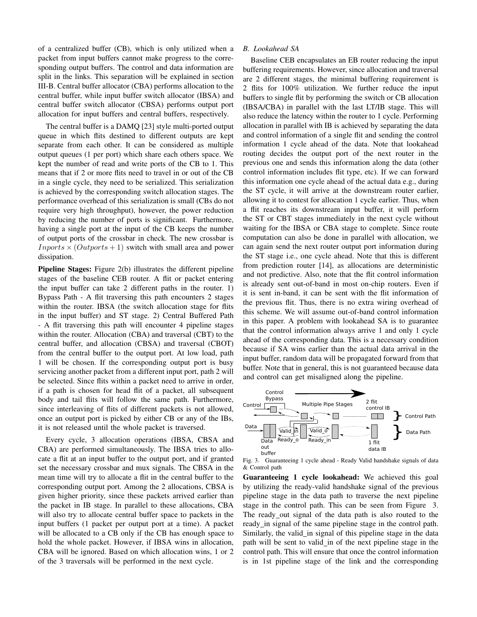of a centralized buffer (CB), which is only utilized when a packet from input buffers cannot make progress to the corresponding output buffers. The control and data information are split in the links. This separation will be explained in section III-B. Central buffer allocator (CBA) performs allocation to the central buffer, while input buffer switch allocator (IBSA) and central buffer switch allocator (CBSA) performs output port allocation for input buffers and central buffers, respectively.

The central buffer is a DAMQ [23] style multi-ported output queue in which flits destined to different outputs are kept separate from each other. It can be considered as multiple output queues (1 per port) which share each others space. We kept the number of read and write ports of the CB to 1. This means that if 2 or more flits need to travel in or out of the CB in a single cycle, they need to be serialized. This serialization is achieved by the corresponding switch allocation stages. The performance overhead of this serialization is small (CBs do not require very high throughput), however, the power reduction by reducing the number of ports is significant. Furthermore, having a single port at the input of the CB keeps the number of output ports of the crossbar in check. The new crossbar is  $Inports \times (Outports + 1)$  switch with small area and power dissipation.

Pipeline Stages: Figure 2(b) illustrates the different pipeline stages of the baseline CEB router. A flit or packet entering the input buffer can take 2 different paths in the router. 1) Bypass Path - A flit traversing this path encounters 2 stages within the router. IBSA (the switch allocation stage for flits in the input buffer) and ST stage. 2) Central Buffered Path - A flit traversing this path will encounter 4 pipeline stages within the router. Allocation (CBA) and traversal (CBT) to the central buffer, and allocation (CBSA) and traversal (CBOT) from the central buffer to the output port. At low load, path 1 will be chosen. If the corresponding output port is busy servicing another packet from a different input port, path 2 will be selected. Since flits within a packet need to arrive in order, if a path is chosen for head flit of a packet, all subsequent body and tail flits will follow the same path. Furthermore, since interleaving of flits of different packets is not allowed, once an output port is picked by either CB or any of the IBs, it is not released until the whole packet is traversed.

Every cycle, 3 allocation operations (IBSA, CBSA and CBA) are performed simultaneously. The IBSA tries to allocate a flit at an input buffer to the output port, and if granted set the necessary crossbar and mux signals. The CBSA in the mean time will try to allocate a flit in the central buffer to the corresponding output port. Among the 2 allocations, CBSA is given higher priority, since these packets arrived earlier than the packet in IB stage. In parallel to these allocations, CBA will also try to allocate central buffer space to packets in the input buffers (1 packet per output port at a time). A packet will be allocated to a CB only if the CB has enough space to hold the whole packet. However, if IBSA wins in allocation, CBA will be ignored. Based on which allocation wins, 1 or 2 of the 3 traversals will be performed in the next cycle.

## *B. Lookahead SA*

Baseline CEB encapsulates an EB router reducing the input buffering requirements. However, since allocation and traversal are 2 different stages, the minimal buffering requirement is 2 flits for 100% utilization. We further reduce the input buffers to single flit by performing the switch or CB allocation (IBSA/CBA) in parallel with the last LT/IB stage. This will also reduce the latency within the router to 1 cycle. Performing allocation in parallel with IB is achieved by separating the data and control information of a single flit and sending the control information 1 cycle ahead of the data. Note that lookahead routing decides the output port of the next router in the previous one and sends this information along the data (other control information includes flit type, etc). If we can forward this information one cycle ahead of the actual data e.g., during the ST cycle, it will arrive at the downstream router earlier, allowing it to contest for allocation 1 cycle earlier. Thus, when a flit reaches its downstream input buffer, it will perform the ST or CBT stages immediately in the next cycle without waiting for the IBSA or CBA stage to complete. Since route computation can also be done in parallel with allocation, we can again send the next router output port information during the ST stage i.e., one cycle ahead. Note that this is different from prediction router [14], as allocations are deterministic and not predictive. Also, note that the flit control information is already sent out-of-band in most on-chip routers. Even if it is sent in-band, it can be sent with the flit information of the previous flit. Thus, there is no extra wiring overhead of this scheme. We will assume out-of-band control information in this paper. A problem with lookahead SA is to guarantee that the control information always arrive 1 and only 1 cycle ahead of the corresponding data. This is a necessary condition because if SA wins earlier than the actual data arrival in the input buffer, random data will be propagated forward from that buffer. Note that in general, this is not guaranteed because data and control can get misaligned along the pipeline.



Fig. 3. Guaranteeing 1 cycle ahead - Ready Valid handshake signals of data & Control path

Guaranteeing 1 cycle lookahead: We achieved this goal by utilizing the ready-valid handshake signal of the previous pipeline stage in the data path to traverse the next pipeline stage in the control path. This can be seen from Figure 3. The ready\_out signal of the data path is also routed to the ready in signal of the same pipeline stage in the control path. Similarly, the valid\_in signal of this pipeline stage in the data path will be sent to valid in of the next pipeline stage in the control path. This will ensure that once the control information is in 1st pipeline stage of the link and the corresponding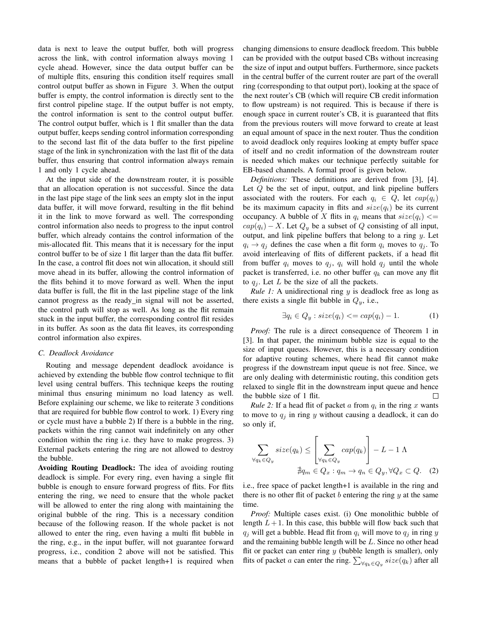data is next to leave the output buffer, both will progress across the link, with control information always moving 1 cycle ahead. However, since the data output buffer can be of multiple flits, ensuring this condition itself requires small control output buffer as shown in Figure 3. When the output buffer is empty, the control information is directly sent to the first control pipeline stage. If the output buffer is not empty, the control information is sent to the control output buffer. The control output buffer, which is 1 flit smaller than the data output buffer, keeps sending control information corresponding to the second last flit of the data buffer to the first pipeline stage of the link in synchronization with the last flit of the data buffer, thus ensuring that control information always remain 1 and only 1 cycle ahead.

At the input side of the downstream router, it is possible that an allocation operation is not successful. Since the data in the last pipe stage of the link sees an empty slot in the input data buffer, it will move forward, resulting in the flit behind it in the link to move forward as well. The corresponding control information also needs to progress to the input control buffer, which already contains the control information of the mis-allocated flit. This means that it is necessary for the input control buffer to be of size 1 flit larger than the data flit buffer. In the case, a control flit does not win allocation, it should still move ahead in its buffer, allowing the control information of the flits behind it to move forward as well. When the input data buffer is full, the flit in the last pipeline stage of the link cannot progress as the ready in signal will not be asserted, the control path will stop as well. As long as the flit remain stuck in the input buffer, the corresponding control flit resides in its buffer. As soon as the data flit leaves, its corresponding control information also expires.

#### *C. Deadlock Avoidance*

Routing and message dependent deadlock avoidance is achieved by extending the bubble flow control technique to flit level using central buffers. This technique keeps the routing minimal thus ensuring minimum no load latency as well. Before explaining our scheme, we like to reiterate 3 conditions that are required for bubble flow control to work. 1) Every ring or cycle must have a bubble 2) If there is a bubble in the ring, packets within the ring cannot wait indefinitely on any other condition within the ring i.e. they have to make progress. 3) External packets entering the ring are not allowed to destroy the bubble.

Avoiding Routing Deadlock: The idea of avoiding routing deadlock is simple. For every ring, even having a single flit bubble is enough to ensure forward progress of flits. For flits entering the ring, we need to ensure that the whole packet will be allowed to enter the ring along with maintaining the original bubble of the ring. This is a necessary condition because of the following reason. If the whole packet is not allowed to enter the ring, even having a multi flit bubble in the ring, e.g., in the input buffer, will not guarantee forward progress, i.e., condition 2 above will not be satisfied. This means that a bubble of packet length+1 is required when changing dimensions to ensure deadlock freedom. This bubble can be provided with the output based CBs without increasing the size of input and output buffers. Furthermore, since packets in the central buffer of the current router are part of the overall ring (corresponding to that output port), looking at the space of the next router's CB (which will require CB credit information to flow upstream) is not required. This is because if there is enough space in current router's CB, it is guaranteed that flits from the previous routers will move forward to create at least an equal amount of space in the next router. Thus the condition to avoid deadlock only requires looking at empty buffer space of itself and no credit information of the downstream router is needed which makes our technique perfectly suitable for EB-based channels. A formal proof is given below.

*Definitions:* These definitions are derived from [3], [4]. Let  $Q$  be the set of input, output, and link pipeline buffers associated with the routers. For each  $q_i \in Q$ , let  $cap(q_i)$ be its maximum capacity in flits and  $size(q_i)$  be its current occupancy. A bubble of X flits in  $q_i$  means that  $size(q_i) \leq$  $cap(q_i) - X$ . Let  $Q_y$  be a subset of Q consisting of all input, output, and link pipeline buffers that belong to a ring  $y$ . Let  $q_i \rightarrow q_j$  defines the case when a flit form  $q_i$  moves to  $q_j$ . To avoid interleaving of flits of different packets, if a head flit from buffer  $q_i$  moves to  $q_j$ ,  $q_i$  will hold  $q_j$  until the whole packet is transferred, i.e. no other buffer  $q_k$  can move any flit to  $q_i$ . Let L be the size of all the packets.

*Rule 1:* A unidirectional ring y is deadlock free as long as there exists a single flit bubble in  $Q_y$ , i.e.,

$$
\exists q_i \in Q_y : size(q_i) \langle = cap(q_i) - 1. \tag{1}
$$

*Proof:* The rule is a direct consequence of Theorem 1 in [3]. In that paper, the minimum bubble size is equal to the size of input queues. However, this is a necessary condition for adaptive routing schemes, where head flit cannot make progress if the downstream input queue is not free. Since, we are only dealing with deterministic routing, this condition gets relaxed to single flit in the downstream input queue and hence the bubble size of 1 flit.  $\Box$ 

*Rule 2:* If a head flit of packet  $a$  from  $q_i$  in the ring  $x$  wants to move to  $q_j$  in ring y without causing a deadlock, it can do so only if,

$$
\sum_{\forall q_k \in Q_y} size(q_k) \leq \left[ \sum_{\forall q_k \in Q_y} cap(q_k) \right] - L - 1 \Lambda
$$
  

$$
\nexists q_m \in Q_x : q_m \to q_n \in Q_y, \forall Q_x \subset Q. \quad (2)
$$

i.e., free space of packet length+1 is available in the ring and there is no other flit of packet b entering the ring  $y$  at the same time.

*Proof:* Multiple cases exist. (i) One monolithic bubble of length  $L + 1$ . In this case, this bubble will flow back such that  $q_i$  will get a bubble. Head flit from  $q_i$  will move to  $q_i$  in ring y and the remaining bubble length will be L. Since no other head flit or packet can enter ring  $y$  (bubble length is smaller), only flits of packet a can enter the ring.  $\sum_{\forall q_k \in Q_y} size(q_k)$  after all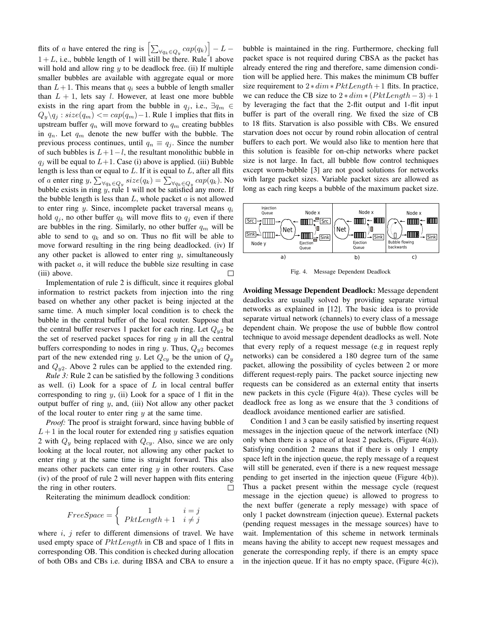flits of a have entered the ring is  $\left[\sum_{\forall q_k \in Q_y} cap(q_k)\right] - L 1 + L$ , i.e., bubble length of 1 will still be there. Rule 1 above will hold and allow ring  $y$  to be deadlock free. (ii) If multiple smaller bubbles are available with aggregate equal or more than  $L+1$ . This means that  $q_i$  sees a bubble of length smaller than  $L + 1$ , lets say l. However, at least one more bubble exists in the ring apart from the bubble in  $q_i$ , i.e.,  $\exists q_m \in$  $Q_y\backslash q_j$ :  $size(q_m) \leq cap(q_m) - 1$ . Rule 1 implies that flits in upstream buffer  $q_n$  will move forward to  $q_m$  creating bubbles in  $q_n$ . Let  $q_m$  denote the new buffer with the bubble. The previous process continues, until  $q_n \equiv q_i$ . Since the number of such bubbles is  $L + 1 - l$ , the resultant monolithic bubble in  $q_i$  will be equal to  $L+1$ . Case (i) above is applied. (iii) Bubble length is less than or equal to  $L$ . If it is equal to  $L$ , after all flits of a enter ring  $y$ ,  $\sum_{\forall q_k \in Q_y} size(q_k) = \sum_{\forall q_k \in Q_y} cap(q_k)$ . No bubble exists in ring  $\hat{y}$ , rule 1 will not be satisfied any more. If the bubble length is less than  $L$ , whole packet  $a$  is not allowed to enter ring y. Since, incomplete packet traversal means  $q_i$ hold  $q_j$ , no other buffer  $q_k$  will move flits to  $q_j$  even if there are bubbles in the ring. Similarly, no other buffer  $q_m$  will be able to send to  $q_k$  and so on. Thus no flit will be able to move forward resulting in the ring being deadlocked. (iv) If any other packet is allowed to enter ring  $y$ , simultaneously with packet  $a$ , it will reduce the bubble size resulting in case (iii) above. П

Implementation of rule 2 is difficult, since it requires global information to restrict packets from injection into the ring based on whether any other packet is being injected at the same time. A much simpler local condition is to check the bubble in the central buffer of the local router. Suppose that the central buffer reserves 1 packet for each ring. Let  $Q_{y2}$  be the set of reserved packet spaces for ring  $y$  in all the central buffers corresponding to nodes in ring y. Thus,  $Q_{y2}$  becomes part of the new extended ring y. Let  $Q_{cy}$  be the union of  $Q_y$ and  $Q_{\nu 2}$ . Above 2 rules can be applied to the extended ring.

*Rule 3:* Rule 2 can be satisfied by the following 3 conditions as well. (i) Look for a space of  $L$  in local central buffer corresponding to ring  $y$ , (ii) Look for a space of 1 flit in the output buffer of ring  $y$ , and, (iii) Not allow any other packet of the local router to enter ring  $y$  at the same time.

*Proof:* The proof is straight forward, since having bubble of  $L+1$  in the local router for extended ring y satisfies equation 2 with  $Q_y$  being replaced with  $Q_{cy}$ . Also, since we are only looking at the local router, not allowing any other packet to enter ring  $y$  at the same time is straight forward. This also means other packets can enter ring  $y$  in other routers. Case (iv) of the proof of rule 2 will never happen with flits entering the ring in other routers.

Reiterating the minimum deadlock condition:

$$
FreeSpace = \left\{ \begin{array}{ll} 1 & i = j \\ PktLength + 1 & i \neq j \end{array} \right.
$$

where  $i, j$  refer to different dimensions of travel. We have used empty space of  $PktLength$  in CB and space of 1 flits in corresponding OB. This condition is checked during allocation of both OBs and CBs i.e. during IBSA and CBA to ensure a bubble is maintained in the ring. Furthermore, checking full packet space is not required during CBSA as the packet has already entered the ring and therefore, same dimension condition will be applied here. This makes the minimum CB buffer size requirement to  $2 * dim * PktLength + 1$  flits. In practice, we can reduce the CB size to  $2 * dim * (PktLength - 3) + 1$ by leveraging the fact that the 2-flit output and 1-flit input buffer is part of the overall ring. We fixed the size of CB to 18 flits. Starvation is also possible with CBs. We ensured starvation does not occur by round robin allocation of central buffers to each port. We would also like to mention here that this solution is feasible for on-chip networks where packet size is not large. In fact, all bubble flow control techniques except worm-bubble [3] are not good solutions for networks with large packet sizes. Variable packet sizes are allowed as long as each ring keeps a bubble of the maximum packet size.



Fig. 4. Message Dependent Deadlock

Avoiding Message Dependent Deadlock: Message dependent deadlocks are usually solved by providing separate virtual networks as explained in [12]. The basic idea is to provide separate virtual network (channels) to every class of a message dependent chain. We propose the use of bubble flow control technique to avoid message dependent deadlocks as well. Note that every reply of a request message (e.g in request reply networks) can be considered a 180 degree turn of the same packet, allowing the possibility of cycles between 2 or more different request-reply pairs. The packet source injecting new requests can be considered as an external entity that inserts new packets in this cycle (Figure 4(a)). These cycles will be deadlock free as long as we ensure that the 3 conditions of deadlock avoidance mentioned earlier are satisfied.

Condition 1 and 3 can be easily satisfied by inserting request messages in the injection queue of the network interface (NI) only when there is a space of at least 2 packets, (Figure  $4(a)$ ). Satisfying condition 2 means that if there is only 1 empty space left in the injection queue, the reply message of a request will still be generated, even if there is a new request message pending to get inserted in the injection queue (Figure 4(b)). Thus a packet present within the message cycle (request message in the ejection queue) is allowed to progress to the next buffer (generate a reply message) with space of only 1 packet downstream (injection queue). External packets (pending request messages in the message sources) have to wait. Implementation of this scheme in network terminals means having the ability to accept new request messages and generate the corresponding reply, if there is an empty space in the injection queue. If it has no empty space, (Figure  $4(c)$ ),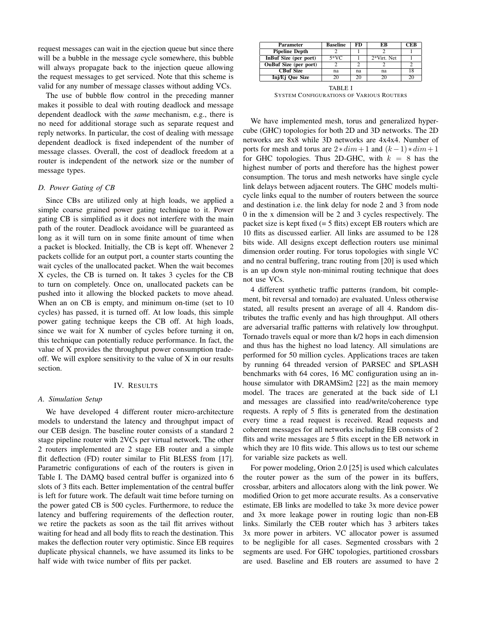request messages can wait in the ejection queue but since there will be a bubble in the message cycle somewhere, this bubble will always propagate back to the injection queue allowing the request messages to get serviced. Note that this scheme is valid for any number of message classes without adding VCs.

The use of bubble flow control in the preceding manner makes it possible to deal with routing deadlock and message dependent deadlock with the *same* mechanism, e.g., there is no need for additional storage such as separate request and reply networks. In particular, the cost of dealing with message dependent deadlock is fixed independent of the number of message classes. Overall, the cost of deadlock freedom at a router is independent of the network size or the number of message types.

## *D. Power Gating of CB*

Since CBs are utilized only at high loads, we applied a simple coarse grained power gating technique to it. Power gating CB is simplified as it does not interfere with the main path of the router. Deadlock avoidance will be guaranteed as long as it will turn on in some finite amount of time when a packet is blocked. Initially, the CB is kept off. Whenever 2 packets collide for an output port, a counter starts counting the wait cycles of the unallocated packet. When the wait becomes X cycles, the CB is turned on. It takes 3 cycles for the CB to turn on completely. Once on, unallocated packets can be pushed into it allowing the blocked packets to move ahead. When an on CB is empty, and minimum on-time (set to 10 cycles) has passed, it is turned off. At low loads, this simple power gating technique keeps the CB off. At high loads, since we wait for X number of cycles before turning it on, this technique can potentially reduce performance. In fact, the value of X provides the throughput power consumption tradeoff. We will explore sensitivity to the value of X in our results section.

# IV. RESULTS

## *A. Simulation Setup*

We have developed 4 different router micro-architecture models to understand the latency and throughput impact of our CEB design. The baseline router consists of a standard 2 stage pipeline router with 2VCs per virtual network. The other 2 routers implemented are 2 stage EB router and a simple flit deflection (FD) router similar to Flit BLESS from [17]. Parametric configurations of each of the routers is given in Table I. The DAMQ based central buffer is organized into 6 slots of 3 flits each. Better implementation of the central buffer is left for future work. The default wait time before turning on the power gated CB is 500 cycles. Furthermore, to reduce the latency and buffering requirements of the deflection router, we retire the packets as soon as the tail flit arrives without waiting for head and all body flits to reach the destination. This makes the deflection router very optimistic. Since EB requires duplicate physical channels, we have assumed its links to be half wide with twice number of flits per packet.

| Parameter                    | <b>Baseline</b> | FD | EB          | CEB |
|------------------------------|-----------------|----|-------------|-----|
| <b>Pipeline Depth</b>        |                 |    |             |     |
| InBuf Size (per port)        | $5*VC$          |    | 2*Virt. Net |     |
| <b>OuBuf Size (per port)</b> |                 |    |             |     |
| <b>CBuf Size</b>             | na              | na | na          | 18  |
| Inj/Ej Que Size              | 20              | 20 |             | 20  |
|                              | TABLE           |    |             |     |

SYSTEM CONFIGURATIONS OF VARIOUS ROUTERS

We have implemented mesh, torus and generalized hypercube (GHC) topologies for both 2D and 3D networks. The 2D networks are 8x8 while 3D networks are 4x4x4. Number of ports for mesh and torus are  $2 * dim + 1$  and  $(k - 1) * dim + 1$ for GHC topologies. Thus 2D-GHC, with  $k = 8$  has the highest number of ports and therefore has the highest power consumption. The torus and mesh networks have single cycle link delays between adjacent routers. The GHC models multicycle links equal to the number of routers between the source and destination i.e. the link delay for node 2 and 3 from node 0 in the x dimension will be 2 and 3 cycles respectively. The packet size is kept fixed  $(= 5$  flits) except EB routers which are 10 flits as discussed earlier. All links are assumed to be 128 bits wide. All designs except deflection routers use minimal dimension order routing. For torus topologies with single VC and no central buffering, tranc routing from [20] is used which is an up down style non-minimal routing technique that does not use VCs.

4 different synthetic traffic patterns (random, bit complement, bit reversal and tornado) are evaluated. Unless otherwise stated, all results present an average of all 4. Random distributes the traffic evenly and has high throughput. All others are adversarial traffic patterns with relatively low throughput. Tornado travels equal or more than k/2 hops in each dimension and thus has the highest no load latency. All simulations are performed for 50 million cycles. Applications traces are taken by running 64 threaded version of PARSEC and SPLASH benchmarks with 64 cores, 16 MC configuration using an inhouse simulator with DRAMSim2 [22] as the main memory model. The traces are generated at the back side of L1 and messages are classified into read/write/coherence type requests. A reply of 5 flits is generated from the destination every time a read request is received. Read requests and coherent messages for all networks including EB consists of 2 flits and write messages are 5 flits except in the EB network in which they are 10 flits wide. This allows us to test our scheme for variable size packets as well.

For power modeling, Orion 2.0 [25] is used which calculates the router power as the sum of the power in its buffers, crossbar, arbiters and allocators along with the link power. We modified Orion to get more accurate results. As a conservative estimate, EB links are modelled to take 3x more device power and 3x more leakage power in routing logic than non-EB links. Similarly the CEB router which has 3 arbiters takes 3x more power in arbiters. VC allocator power is assumed to be negligible for all cases. Segmented crossbars with 2 segments are used. For GHC topologies, partitioned crossbars are used. Baseline and EB routers are assumed to have 2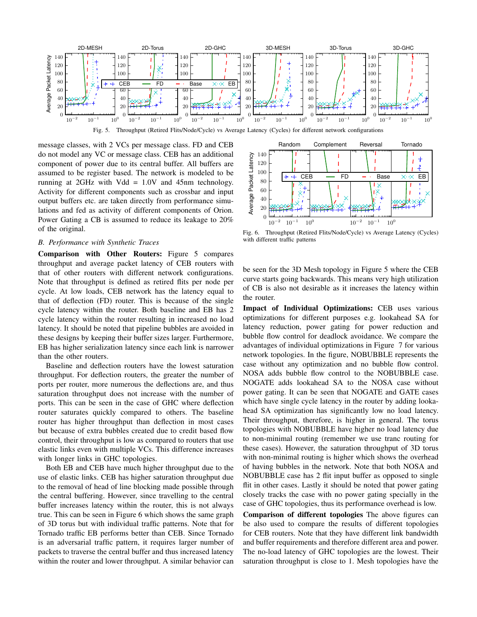

Fig. 5. Throughput (Retired Flits/Node/Cycle) vs Average Latency (Cycles) for different network configurations

message classes, with 2 VCs per message class. FD and CEB do not model any VC or message class. CEB has an additional component of power due to its central buffer. All buffers are assumed to be register based. The network is modeled to be running at  $2\text{GHz}$  with Vdd =  $1.0\text{V}$  and  $45\text{nm}$  technology. Activity for different components such as crossbar and input output buffers etc. are taken directly from performance simulations and fed as activity of different components of Orion. Power Gating a CB is assumed to reduce its leakage to 20% of the original.

## *B. Performance with Synthetic Traces*

Comparison with Other Routers: Figure 5 compares throughput and average packet latency of CEB routers with that of other routers with different network configurations. Note that throughput is defined as retired flits per node per cycle. At low loads, CEB network has the latency equal to that of deflection (FD) router. This is because of the single cycle latency within the router. Both baseline and EB has 2 cycle latency within the router resulting in increased no load latency. It should be noted that pipeline bubbles are avoided in these designs by keeping their buffer sizes larger. Furthermore, EB has higher serialization latency since each link is narrower than the other routers.

Baseline and deflection routers have the lowest saturation throughput. For deflection routers, the greater the number of ports per router, more numerous the deflections are, and thus saturation throughput does not increase with the number of ports. This can be seen in the case of GHC where deflection router saturates quickly compared to others. The baseline router has higher throughput than deflection in most cases but because of extra bubbles created due to credit based flow control, their throughput is low as compared to routers that use elastic links even with multiple VCs. This difference increases with longer links in GHC topologies.

Both EB and CEB have much higher throughput due to the use of elastic links. CEB has higher saturation throughput due to the removal of head of line blocking made possible through the central buffering. However, since travelling to the central buffer increases latency within the router, this is not always true. This can be seen in Figure 6 which shows the same graph of 3D torus but with individual traffic patterns. Note that for Tornado traffic EB performs better than CEB. Since Tornado is an adversarial traffic pattern, it requires larger number of packets to traverse the central buffer and thus increased latency within the router and lower throughput. A similar behavior can



Fig. 6. Throughput (Retired Flits/Node/Cycle) vs Average Latency (Cycles) with different traffic patterns

be seen for the 3D Mesh topology in Figure 5 where the CEB curve starts going backwards. This means very high utilization of CB is also not desirable as it increases the latency within the router.

Impact of Individual Optimizations: CEB uses various optimizations for different purposes e.g. lookahead SA for latency reduction, power gating for power reduction and bubble flow control for deadlock avoidance. We compare the advantages of individual optimizations in Figure 7 for various network topologies. In the figure, NOBUBBLE represents the case without any optimization and no bubble flow control. NOSA adds bubble flow control to the NOBUBBLE case. NOGATE adds lookahead SA to the NOSA case without power gating. It can be seen that NOGATE and GATE cases which have single cycle latency in the router by adding lookahead SA optimization has significantly low no load latency. Their throughput, therefore, is higher in general. The torus topologies with NOBUBBLE have higher no load latency due to non-minimal routing (remember we use tranc routing for these cases). However, the saturation throughput of 3D torus with non-minimal routing is higher which shows the overhead of having bubbles in the network. Note that both NOSA and NOBUBBLE case has 2 flit input buffer as opposed to single flit in other cases. Lastly it should be noted that power gating closely tracks the case with no power gating specially in the case of GHC topologies, thus its performance overhead is low.

Comparison of different topologies The above figures can be also used to compare the results of different topologies for CEB routers. Note that they have different link bandwidth and buffer requirements and therefore different area and power. The no-load latency of GHC topologies are the lowest. Their saturation throughput is close to 1. Mesh topologies have the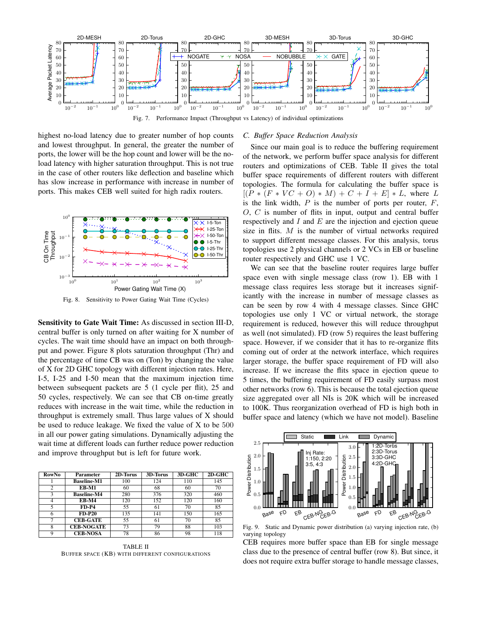

Fig. 7. Performance Impact (Throughput vs Latency) of individual optimizations

highest no-load latency due to greater number of hop counts and lowest throughput. In general, the greater the number of ports, the lower will be the hop count and lower will be the noload latency with higher saturation throughput. This is not true in the case of other routers like deflection and baseline which has slow increase in performance with increase in number of ports. This makes CEB well suited for high radix routers.



Fig. 8. Sensitivity to Power Gating Wait Time (Cycles)

Sensitivity to Gate Wait Time: As discussed in section III-D, central buffer is only turned on after waiting for X number of cycles. The wait time should have an impact on both throughput and power. Figure 8 plots saturation throughput (Thr) and the percentage of time CB was on (Ton) by changing the value of X for 2D GHC topology with different injection rates. Here, I-5, I-25 and I-50 mean that the maximum injection time between subsequent packets are 5 (1 cycle per flit), 25 and 50 cycles, respectively. We can see that CB on-time greatly reduces with increase in the wait time, while the reduction in throughput is extremely small. Thus large values of X should be used to reduce leakage. We fixed the value of X to be 500 in all our power gating simulations. Dynamically adjusting the wait time at different loads can further reduce power reduction and improve throughput but is left for future work.

| <b>RowNo</b>   | Parameter          | 2D-Torus | 3D-Torus | 3D-GHC | $2D-GHC$ |
|----------------|--------------------|----------|----------|--------|----------|
|                | <b>Baseline-M1</b> | 100      | 124      | 110    | 145      |
| $\overline{c}$ | EB-M1              | 60       | 68       | 60     | 70       |
| 3              | <b>Baseline-M4</b> | 280      | 376      | 320    | 460      |
|                | EB-M4              | 120      | 152      | 120    | 160      |
|                | $FD-P4$            | 55       | 61       | 70     | 85       |
|                | <b>FD-P20</b>      | 135      | 141      | 150    | 165      |
|                | <b>CEB-GATE</b>    | 55       | 61       | 70     | 85       |
| 8              | <b>CEB-NOGATE</b>  | 73       | 79       | 88     | 103      |
| 9              | <b>CEB-NOSA</b>    | 78       | 86       | 98     | 118      |

TABLE II BUFFER SPACE (KB) WITH DIFFERENT CONFIGURATIONS

## *C. Buffer Space Reduction Analysis*

Since our main goal is to reduce the buffering requirement of the network, we perform buffer space analysis for different routers and optimizations of CEB. Table II gives the total buffer space requirements of different routers with different topologies. The formula for calculating the buffer space is  $[(P * (F * VC + O) * M) + C + I + E] * L$ , where L is the link width,  $P$  is the number of ports per router,  $F$ , O, C is number of flits in input, output and central buffer respectively and  $I$  and  $E$  are the injection and ejection queue size in flits.  $M$  is the number of virtual networks required to support different message classes. For this analysis, torus topologies use 2 physical channels or 2 VCs in EB or baseline router respectively and GHC use 1 VC.

We can see that the baseline router requires large buffer space even with single message class (row 1). EB with 1 message class requires less storage but it increases significantly with the increase in number of message classes as can be seen by row 4 with 4 message classes. Since GHC topologies use only 1 VC or virtual network, the storage requirement is reduced, however this will reduce throughput as well (not simulated). FD (row 5) requires the least buffering space. However, if we consider that it has to re-organize flits coming out of order at the network interface, which requires larger storage, the buffer space requirement of FD will also increase. If we increase the flits space in ejection queue to 5 times, the buffering requirement of FD easily surpass most other networks (row 6). This is because the total ejection queue size aggregated over all NIs is 20K which will be increased to 100K. Thus reorganization overhead of FD is high both in buffer space and latency (which we have not model). Baseline



Fig. 9. Static and Dynamic power distribution (a) varying injection rate, (b) varying topology

CEB requires more buffer space than EB for single message class due to the presence of central buffer (row 8). But since, it does not require extra buffer storage to handle message classes,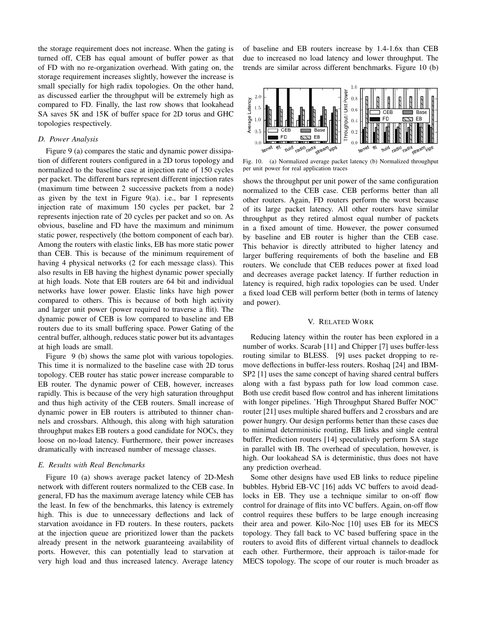the storage requirement does not increase. When the gating is turned off, CEB has equal amount of buffer power as that of FD with no re-organization overhead. With gating on, the storage requirement increases slightly, however the increase is small specially for high radix topologies. On the other hand, as discussed earlier the throughput will be extremely high as compared to FD. Finally, the last row shows that lookahead SA saves 5K and 15K of buffer space for 2D torus and GHC topologies respectively.

#### *D. Power Analysis*

Figure 9 (a) compares the static and dynamic power dissipation of different routers configured in a 2D torus topology and normalized to the baseline case at injection rate of 150 cycles per packet. The different bars represent different injection rates (maximum time between 2 successive packets from a node) as given by the text in Figure  $9(a)$ . i.e., bar 1 represents injection rate of maximum 150 cycles per packet, bar 2 represents injection rate of 20 cycles per packet and so on. As obvious, baseline and FD have the maximum and minimum static power, respectively (the bottom component of each bar). Among the routers with elastic links, EB has more static power than CEB. This is because of the minimum requirement of having 4 physical networks (2 for each message class). This also results in EB having the highest dynamic power specially at high loads. Note that EB routers are 64 bit and individual networks have lower power. Elastic links have high power compared to others. This is because of both high activity and larger unit power (power required to traverse a flit). The dynamic power of CEB is low compared to baseline and EB routers due to its small buffering space. Power Gating of the central buffer, although, reduces static power but its advantages at high loads are small.

Figure 9 (b) shows the same plot with various topologies. This time it is normalized to the baseline case with 2D torus topology. CEB router has static power increase comparable to EB router. The dynamic power of CEB, however, increases rapidly. This is because of the very high saturation throughput and thus high activity of the CEB routers. Small increase of dynamic power in EB routers is attributed to thinner channels and crossbars. Although, this along with high saturation throughput makes EB routers a good candidate for NOCs, they loose on no-load latency. Furthermore, their power increases dramatically with increased number of message classes.

#### *E. Results with Real Benchmarks*

Figure 10 (a) shows average packet latency of 2D-Mesh network with different routers normalized to the CEB case. In general, FD has the maximum average latency while CEB has the least. In few of the benchmarks, this latency is extremely high. This is due to unnecessary deflections and lack of starvation avoidance in FD routers. In these routers, packets at the injection queue are prioritized lower than the packets already present in the network guaranteeing availability of ports. However, this can potentially lead to starvation at very high load and thus increased latency. Average latency of baseline and EB routers increase by 1.4-1.6x than CEB due to increased no load latency and lower throughput. The trends are similar across different benchmarks. Figure 10 (b)



Fig. 10. (a) Normalized average packet latency (b) Normalized throughput per unit power for real application traces

shows the throughput per unit power of the same configuration normalized to the CEB case. CEB performs better than all other routers. Again, FD routers perform the worst because of its large packet latency. All other routers have similar throughput as they retired almost equal number of packets in a fixed amount of time. However, the power consumed by baseline and EB router is higher than the CEB case. This behavior is directly attributed to higher latency and larger buffering requirements of both the baseline and EB routers. We conclude that CEB reduces power at fixed load and decreases average packet latency. If further reduction in latency is required, high radix topologies can be used. Under a fixed load CEB will perform better (both in terms of latency and power).

## V. RELATED WORK

Reducing latency within the router has been explored in a number of works. Scarab [11] and Chipper [7] uses buffer-less routing similar to BLESS. [9] uses packet dropping to remove deflections in buffer-less routers. Roshaq [24] and IBM-SP2 [1] uses the same concept of having shared central buffers along with a fast bypass path for low load common case. Both use credit based flow control and has inherent limitations with longer pipelines. 'High Throughput Shared Buffer NOC' router [21] uses multiple shared buffers and 2 crossbars and are power hungry. Our design performs better than these cases due to minimal deterministic routing, EB links and single central buffer. Prediction routers [14] speculatively perform SA stage in parallel with IB. The overhead of speculation, however, is high. Our lookahead SA is deterministic, thus does not have any prediction overhead.

Some other designs have used EB links to reduce pipeline bubbles. Hybrid EB-VC [16] adds VC buffers to avoid deadlocks in EB. They use a technique similar to on-off flow control for drainage of flits into VC buffers. Again, on-off flow control requires these buffers to be large enough increasing their area and power. Kilo-Noc [10] uses EB for its MECS topology. They fall back to VC based buffering space in the routers to avoid flits of different virtual channels to deadlock each other. Furthermore, their approach is tailor-made for MECS topology. The scope of our router is much broader as